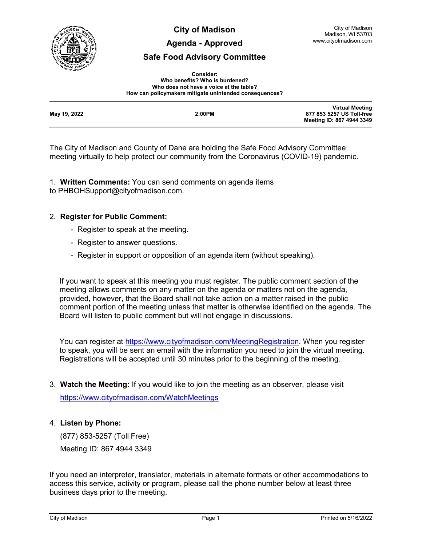

**City of Madison**

## **Agenda - Approved**

# **Safe Food Advisory Committee**

| <b>Consider:</b>                                       |
|--------------------------------------------------------|
| Who benefits? Who is burdened?                         |
| Who does not have a voice at the table?                |
| How can policymakers mitigate unintended consequences? |

| May 19, 2022 | 2:00PM | <b>Virtual Meeting</b><br>877 853 5257 US Toll-free<br>Meeting ID: 867 4944 3349 |
|--------------|--------|----------------------------------------------------------------------------------|
|              |        |                                                                                  |

The City of Madison and County of Dane are holding the Safe Food Advisory Committee meeting virtually to help protect our community from the Coronavirus (COVID-19) pandemic.

1. **Written Comments:** You can send comments on agenda items to PHBOHSupport@cityofmadison.com.

## 2. **Register for Public Comment:**

- Register to speak at the meeting.
- Register to answer questions.
- Register in support or opposition of an agenda item (without speaking).

If you want to speak at this meeting you must register. The public comment section of the meeting allows comments on any matter on the agenda or matters not on the agenda, provided, however, that the Board shall not take action on a matter raised in the public comment portion of the meeting unless that matter is otherwise identified on the agenda. The Board will listen to public comment but will not engage in discussions.

You can register at [https://www.cityofmadison.com/MeetingRegistration.](https://www.cityofmadison.com/MeetingRegistration) When you register to speak, you will be sent an email with the information you need to join the virtual meeting. Registrations will be accepted until 30 minutes prior to the beginning of the meeting.

3. **Watch the Meeting:** If you would like to join the meeting as an observer, please visit

<https://www.cityofmadison.com/WatchMeetings>

# 4. **Listen by Phone:**

 (877) 853-5257 (Toll Free) Meeting ID: 867 4944 3349

If you need an interpreter, translator, materials in alternate formats or other accommodations to access this service, activity or program, please call the phone number below at least three business days prior to the meeting.